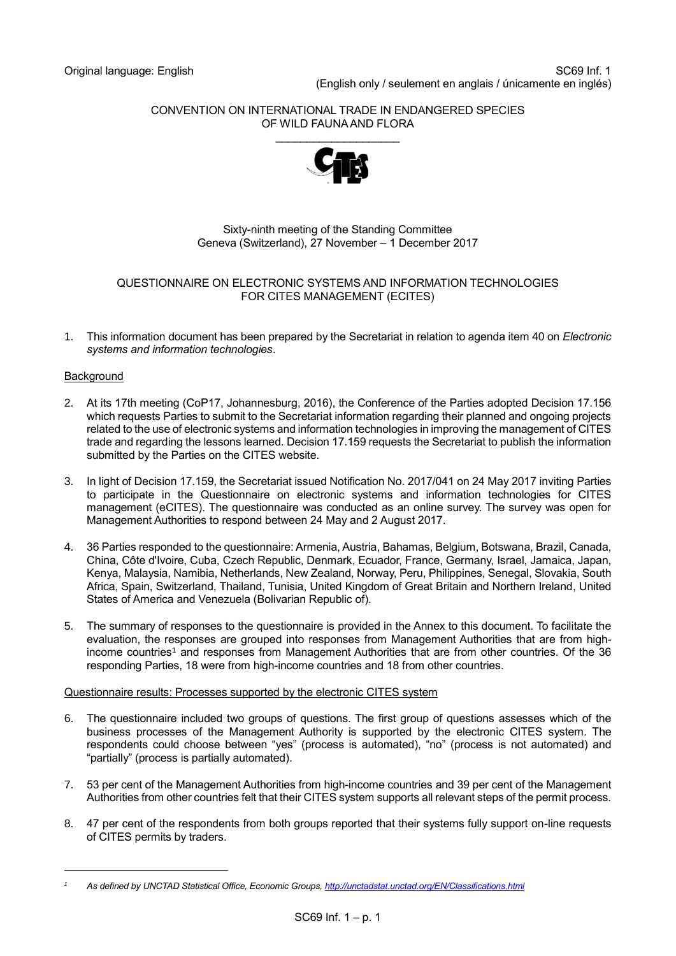#### CONVENTION ON INTERNATIONAL TRADE IN ENDANGERED SPECIES OF WILD FAUNA AND FLORA



## Sixty-ninth meeting of the Standing Committee Geneva (Switzerland), 27 November – 1 December 2017

#### QUESTIONNAIRE ON ELECTRONIC SYSTEMS AND INFORMATION TECHNOLOGIES FOR CITES MANAGEMENT (ECITES)

1. This information document has been prepared by the Secretariat in relation to agenda item 40 on *Electronic systems and information technologies*.

## **Background**

1

- 2. At its 17th meeting (CoP17, Johannesburg, 2016), the Conference of the Parties adopted Decision 17.156 which requests Parties to submit to the Secretariat information regarding their planned and ongoing projects related to the use of electronic systems and information technologies in improving the management of CITES trade and regarding the lessons learned. Decision 17.159 requests the Secretariat to publish the information submitted by the Parties on the CITES website.
- 3. In light of Decision 17.159, the Secretariat issued Notification No. 2017/041 on 24 May 2017 inviting Parties to participate in the [Questionnaire on electronic systems and information technologies for CITES](https://cites.org/sites/default/files/notif/E-Notif-2017-041.pdf)  [management \(eCITES\).](https://cites.org/sites/default/files/notif/E-Notif-2017-041.pdf) The questionnaire was conducted as an online survey. The survey was open for Management Authorities to respond between 24 May and 2 August 2017.
- 4. 36 Parties responded to the questionnaire: Armenia, Austria, Bahamas, Belgium, Botswana, Brazil, Canada, China, Côte d'Ivoire, Cuba, Czech Republic, Denmark, Ecuador, France, Germany, Israel, Jamaica, Japan, Kenya, Malaysia, Namibia, Netherlands, New Zealand, Norway, Peru, Philippines, Senegal, Slovakia, South Africa, Spain, Switzerland, Thailand, Tunisia, United Kingdom of Great Britain and Northern Ireland, United States of America and Venezuela (Bolivarian Republic of).
- 5. The summary of responses to the questionnaire is provided in the Annex to this document. To facilitate the evaluation, the responses are grouped into responses from Management Authorities that are from highincome countries<sup>1</sup> and responses from Management Authorities that are from other countries. Of the 36 responding Parties, 18 were from high-income countries and 18 from other countries.

## Questionnaire results: Processes supported by the electronic CITES system

- 6. The questionnaire included two groups of questions. The first group of questions assesses which of the business processes of the Management Authority is supported by the electronic CITES system. The respondents could choose between "yes" (process is automated), "no" (process is not automated) and "partially" (process is partially automated).
- 7. 53 per cent of the Management Authorities from high-income countries and 39 per cent of the Management Authorities from other countries felt that their CITES system supports all relevant steps of the permit process.
- 8. 47 per cent of the respondents from both groups reported that their systems fully support on-line requests of CITES permits by traders.

*<sup>1</sup> As defined by UNCTAD Statistical Office, Economic Groups[, http://unctadstat.unctad.org/EN/Classifications.html](http://unctadstat.unctad.org/EN/Classifications.html)*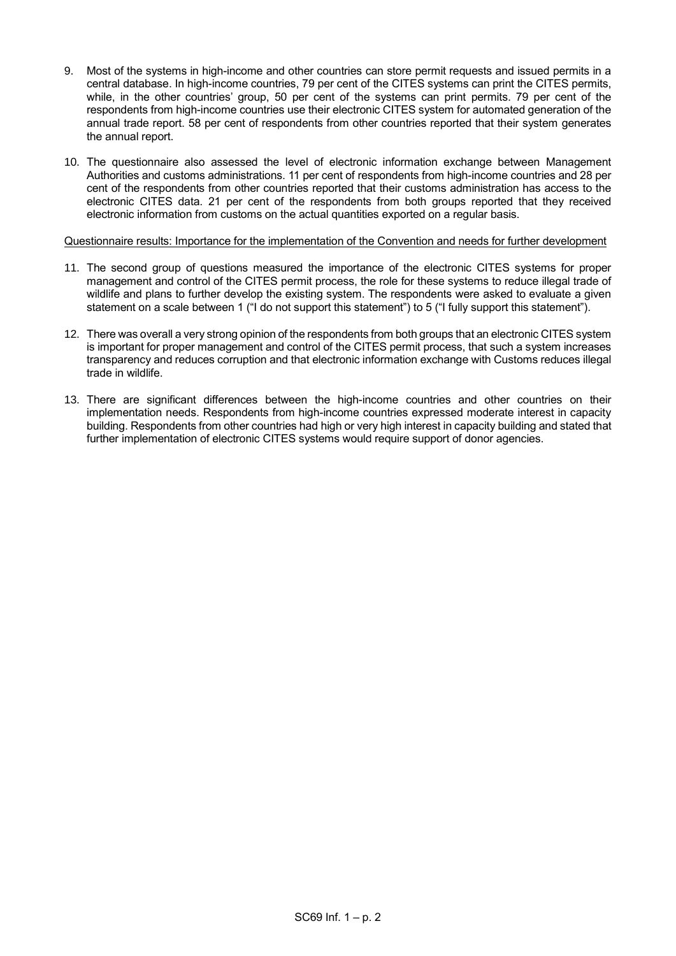- 9. Most of the systems in high-income and other countries can store permit requests and issued permits in a central database. In high-income countries, 79 per cent of the CITES systems can print the CITES permits, while, in the other countries' group, 50 per cent of the systems can print permits. 79 per cent of the respondents from high-income countries use their electronic CITES system for automated generation of the annual trade report. 58 per cent of respondents from other countries reported that their system generates the annual report.
- 10. The questionnaire also assessed the level of electronic information exchange between Management Authorities and customs administrations. 11 per cent of respondents from high-income countries and 28 per cent of the respondents from other countries reported that their customs administration has access to the electronic CITES data. 21 per cent of the respondents from both groups reported that they received electronic information from customs on the actual quantities exported on a regular basis.

Questionnaire results: Importance for the implementation of the Convention and needs for further development

- 11. The second group of questions measured the importance of the electronic CITES systems for proper management and control of the CITES permit process, the role for these systems to reduce illegal trade of wildlife and plans to further develop the existing system. The respondents were asked to evaluate a given statement on a scale between 1 ("I do not support this statement") to 5 ("I fully support this statement").
- 12. There was overall a very strong opinion of the respondents from both groups that an electronic CITES system is important for proper management and control of the CITES permit process, that such a system increases transparency and reduces corruption and that electronic information exchange with Customs reduces illegal trade in wildlife.
- 13. There are significant differences between the high-income countries and other countries on their implementation needs. Respondents from high-income countries expressed moderate interest in capacity building. Respondents from other countries had high or very high interest in capacity building and stated that further implementation of electronic CITES systems would require support of donor agencies.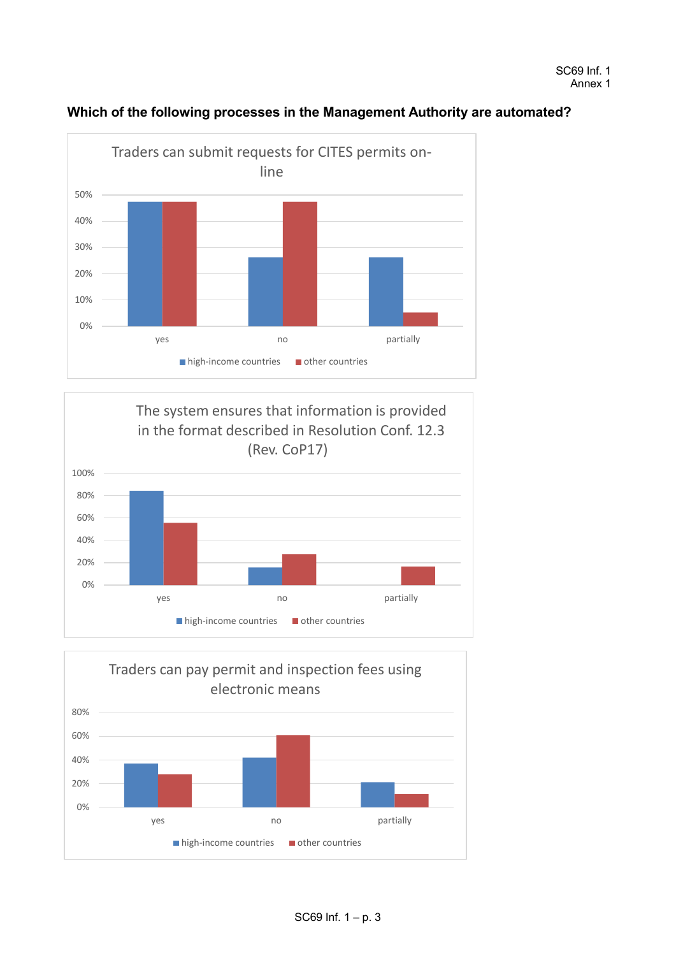

# **Which of the following processes in the Management Authority are automated?**



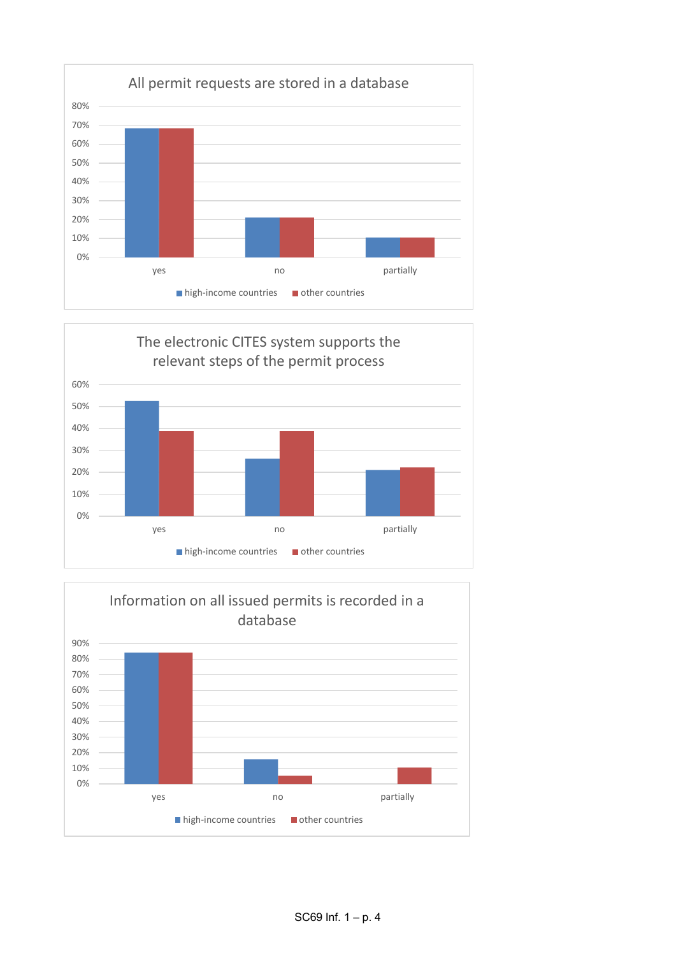



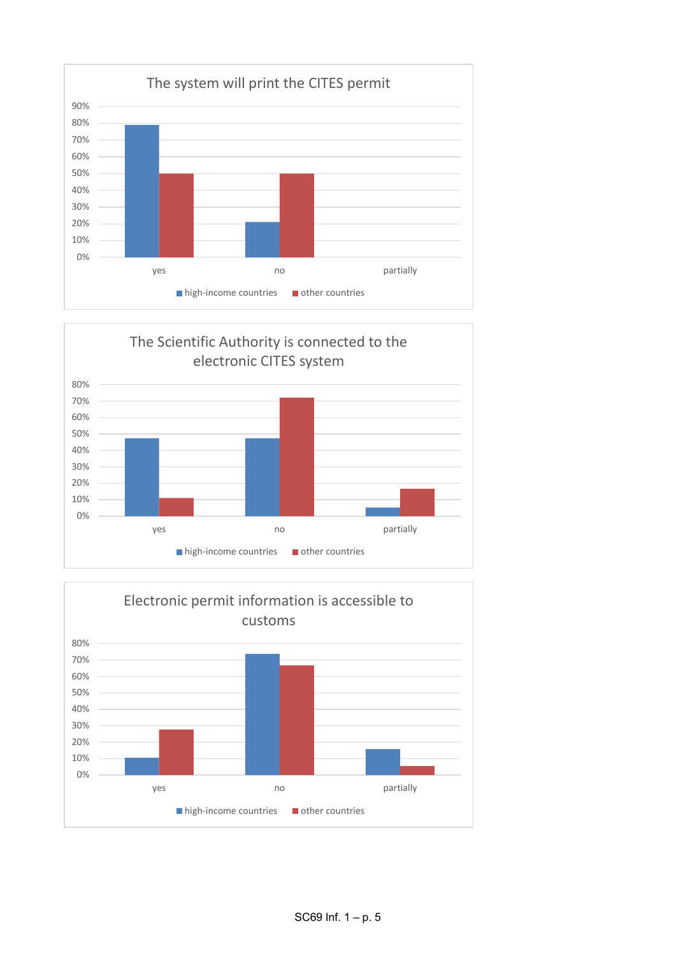



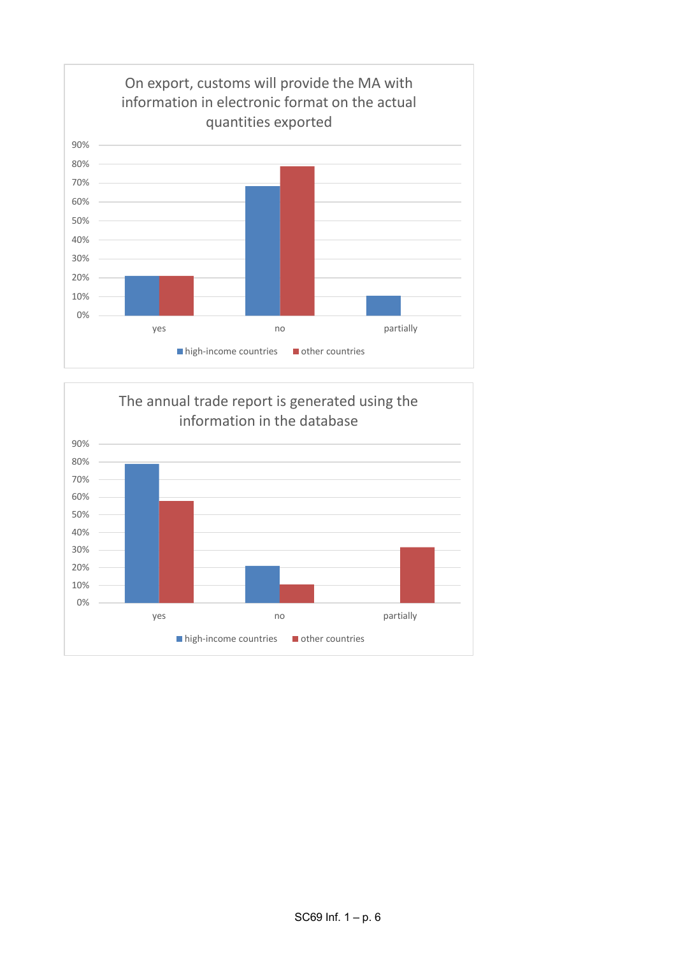

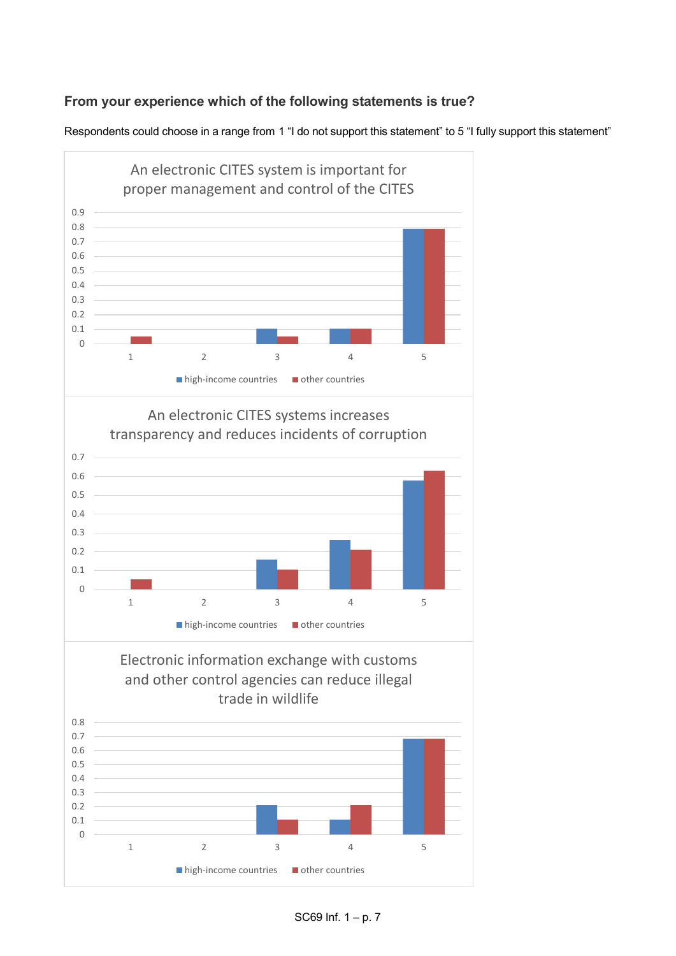# **From your experience which of the following statements is true?**

Respondents could choose in a range from 1 "I do not support this statement" to 5 "I fully support this statement"





Electronic information exchange with customs and other control agencies can reduce illegal trade in wildlife



SC69 Inf. 1 – p. 7